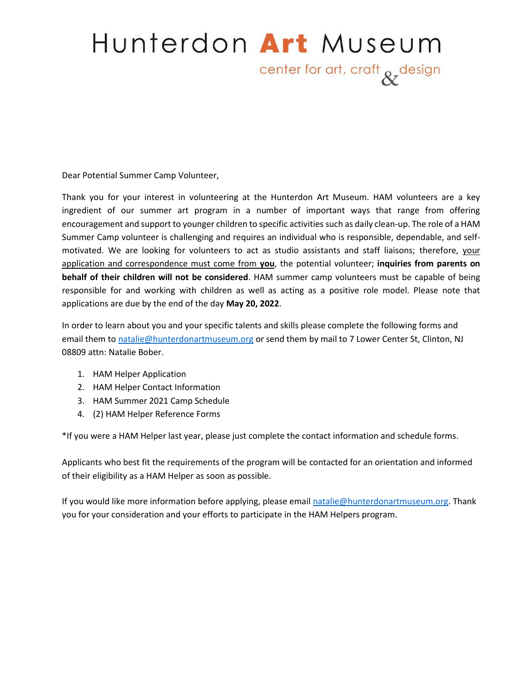# Hunterdon Art Museum center for art, craft & design

Dear Potential Summer Camp Volunteer,

Thank you for your interest in volunteering at the Hunterdon Art Museum. HAM volunteers are a key ingredient of our summer art program in a number of important ways that range from offering encouragement and support to younger children to specific activities such as daily clean-up. The role of a HAM Summer Camp volunteer is challenging and requires an individual who is responsible, dependable, and selfmotivated. We are looking for volunteers to act as studio assistants and staff liaisons; therefore, your application and correspondence must come from **you**, the potential volunteer; **inquiries from parents on behalf of their children will not be considered**. HAM summer camp volunteers must be capable of being responsible for and working with children as well as acting as a positive role model. Please note that applications are due by the end of the day **May 20, 2022**.

In order to learn about you and your specific talents and skills please complete the following forms and email them to [natalie@hunterdonartmuseum.org](mailto:natalie@hunterdonartmuseum.org) or send them by mail to 7 Lower Center St, Clinton, NJ 08809 attn: Natalie Bober.

- 1. HAM Helper Application
- 2. HAM Helper Contact Information
- 3. HAM Summer 2021 Camp Schedule
- 4. (2) HAM Helper Reference Forms

\*If you were a HAM Helper last year, please just complete the contact information and schedule forms.

Applicants who best fit the requirements of the program will be contacted for an orientation and informed of their eligibility as a HAM Helper as soon as possible.

If you would like more information before applying, please emai[l natalie@hunterdonartmuseum.org.](mailto:natalie@hunterdonartmuseum.org) Thank you for your consideration and your efforts to participate in the HAM Helpers program.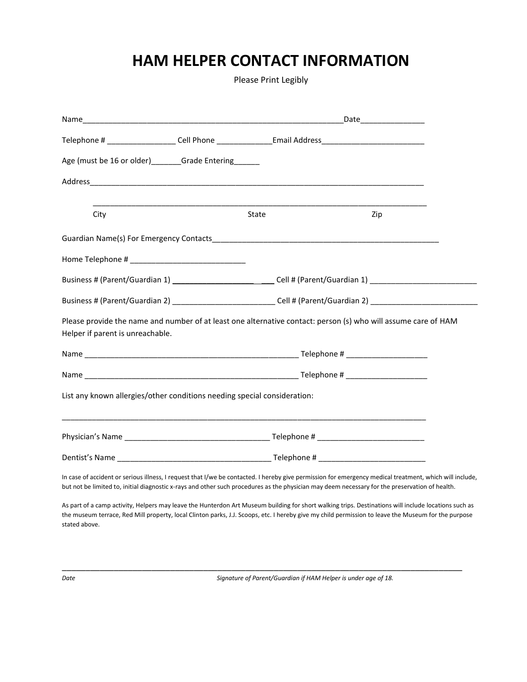# **HAM HELPER CONTACT INFORMATION**

Please Print Legibly

| Telephone # _____________________Cell Phone _________________Email Address__________________________                                                                                                                                                                                                        |  |       |  |     |  |
|-------------------------------------------------------------------------------------------------------------------------------------------------------------------------------------------------------------------------------------------------------------------------------------------------------------|--|-------|--|-----|--|
| Age (must be 16 or older)______Grade Entering______                                                                                                                                                                                                                                                         |  |       |  |     |  |
|                                                                                                                                                                                                                                                                                                             |  |       |  |     |  |
| City                                                                                                                                                                                                                                                                                                        |  | State |  | Zip |  |
|                                                                                                                                                                                                                                                                                                             |  |       |  |     |  |
|                                                                                                                                                                                                                                                                                                             |  |       |  |     |  |
| Business # (Parent/Guardian 1) _______________________________Cell # (Parent/Guardian 1) ___________________________                                                                                                                                                                                        |  |       |  |     |  |
| Business # (Parent/Guardian 2) ______________________________Cell # (Parent/Guardian 2) ____________________________                                                                                                                                                                                        |  |       |  |     |  |
| Please provide the name and number of at least one alternative contact: person (s) who will assume care of HAM<br>Helper if parent is unreachable.                                                                                                                                                          |  |       |  |     |  |
|                                                                                                                                                                                                                                                                                                             |  |       |  |     |  |
|                                                                                                                                                                                                                                                                                                             |  |       |  |     |  |
| List any known allergies/other conditions needing special consideration:                                                                                                                                                                                                                                    |  |       |  |     |  |
|                                                                                                                                                                                                                                                                                                             |  |       |  |     |  |
|                                                                                                                                                                                                                                                                                                             |  |       |  |     |  |
| In case of accident or serious illness, I request that I/we be contacted. I hereby give permission for emergency medical treatment, which will include,<br>but not be limited to, initial diagnostic x-rays and other such procedures as the physician may deem necessary for the preservation of health.   |  |       |  |     |  |
| As part of a camp activity, Helpers may leave the Hunterdon Art Museum building for short walking trips. Destinations will include locations such as<br>the museum terrace, Red Mill property, local Clinton parks, J.J. Scoops, etc. I hereby give my child permission to leave the Museum for the purpose |  |       |  |     |  |

stated above.

\_\_\_\_\_\_\_\_\_\_\_\_\_\_\_\_\_\_\_\_\_\_\_\_\_\_\_\_\_\_\_\_\_\_\_\_\_\_\_\_\_\_\_\_\_\_\_\_\_\_\_\_\_\_\_\_\_\_\_\_\_\_\_\_\_\_\_\_\_\_\_\_\_\_\_\_\_\_\_\_\_\_\_\_\_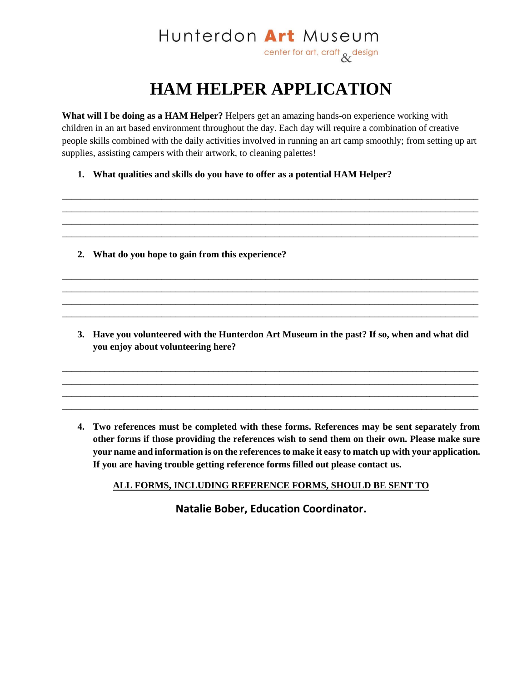### Hunterdon Art Museum center for art, craft & design

## **HAM HELPER APPLICATION**

**What will I be doing as a HAM Helper?** Helpers get an amazing hands-on experience working with children in an art based environment throughout the day. Each day will require a combination of creative people skills combined with the daily activities involved in running an art camp smoothly; from setting up art supplies, assisting campers with their artwork, to cleaning palettes!

\_\_\_\_\_\_\_\_\_\_\_\_\_\_\_\_\_\_\_\_\_\_\_\_\_\_\_\_\_\_\_\_\_\_\_\_\_\_\_\_\_\_\_\_\_\_\_\_\_\_\_\_\_\_\_\_\_\_\_\_\_\_\_\_\_\_\_\_\_\_\_\_\_\_\_\_\_\_\_\_\_\_\_\_\_\_\_\_ \_\_\_\_\_\_\_\_\_\_\_\_\_\_\_\_\_\_\_\_\_\_\_\_\_\_\_\_\_\_\_\_\_\_\_\_\_\_\_\_\_\_\_\_\_\_\_\_\_\_\_\_\_\_\_\_\_\_\_\_\_\_\_\_\_\_\_\_\_\_\_\_\_\_\_\_\_\_\_\_\_\_\_\_\_\_\_\_ \_\_\_\_\_\_\_\_\_\_\_\_\_\_\_\_\_\_\_\_\_\_\_\_\_\_\_\_\_\_\_\_\_\_\_\_\_\_\_\_\_\_\_\_\_\_\_\_\_\_\_\_\_\_\_\_\_\_\_\_\_\_\_\_\_\_\_\_\_\_\_\_\_\_\_\_\_\_\_\_\_\_\_\_\_\_\_\_ \_\_\_\_\_\_\_\_\_\_\_\_\_\_\_\_\_\_\_\_\_\_\_\_\_\_\_\_\_\_\_\_\_\_\_\_\_\_\_\_\_\_\_\_\_\_\_\_\_\_\_\_\_\_\_\_\_\_\_\_\_\_\_\_\_\_\_\_\_\_\_\_\_\_\_\_\_\_\_\_\_\_\_\_\_\_\_\_

\_\_\_\_\_\_\_\_\_\_\_\_\_\_\_\_\_\_\_\_\_\_\_\_\_\_\_\_\_\_\_\_\_\_\_\_\_\_\_\_\_\_\_\_\_\_\_\_\_\_\_\_\_\_\_\_\_\_\_\_\_\_\_\_\_\_\_\_\_\_\_\_\_\_\_\_\_\_\_\_\_\_\_\_\_\_\_\_ \_\_\_\_\_\_\_\_\_\_\_\_\_\_\_\_\_\_\_\_\_\_\_\_\_\_\_\_\_\_\_\_\_\_\_\_\_\_\_\_\_\_\_\_\_\_\_\_\_\_\_\_\_\_\_\_\_\_\_\_\_\_\_\_\_\_\_\_\_\_\_\_\_\_\_\_\_\_\_\_\_\_\_\_\_\_\_\_ \_\_\_\_\_\_\_\_\_\_\_\_\_\_\_\_\_\_\_\_\_\_\_\_\_\_\_\_\_\_\_\_\_\_\_\_\_\_\_\_\_\_\_\_\_\_\_\_\_\_\_\_\_\_\_\_\_\_\_\_\_\_\_\_\_\_\_\_\_\_\_\_\_\_\_\_\_\_\_\_\_\_\_\_\_\_\_\_ \_\_\_\_\_\_\_\_\_\_\_\_\_\_\_\_\_\_\_\_\_\_\_\_\_\_\_\_\_\_\_\_\_\_\_\_\_\_\_\_\_\_\_\_\_\_\_\_\_\_\_\_\_\_\_\_\_\_\_\_\_\_\_\_\_\_\_\_\_\_\_\_\_\_\_\_\_\_\_\_\_\_\_\_\_\_\_\_

**1. What qualities and skills do you have to offer as a potential HAM Helper?**

- **2. What do you hope to gain from this experience?**
- **3. Have you volunteered with the Hunterdon Art Museum in the past? If so, when and what did you enjoy about volunteering here?**

\_\_\_\_\_\_\_\_\_\_\_\_\_\_\_\_\_\_\_\_\_\_\_\_\_\_\_\_\_\_\_\_\_\_\_\_\_\_\_\_\_\_\_\_\_\_\_\_\_\_\_\_\_\_\_\_\_\_\_\_\_\_\_\_\_\_\_\_\_\_\_\_\_\_\_\_\_\_\_\_\_\_\_\_\_\_\_\_ \_\_\_\_\_\_\_\_\_\_\_\_\_\_\_\_\_\_\_\_\_\_\_\_\_\_\_\_\_\_\_\_\_\_\_\_\_\_\_\_\_\_\_\_\_\_\_\_\_\_\_\_\_\_\_\_\_\_\_\_\_\_\_\_\_\_\_\_\_\_\_\_\_\_\_\_\_\_\_\_\_\_\_\_\_\_\_\_ \_\_\_\_\_\_\_\_\_\_\_\_\_\_\_\_\_\_\_\_\_\_\_\_\_\_\_\_\_\_\_\_\_\_\_\_\_\_\_\_\_\_\_\_\_\_\_\_\_\_\_\_\_\_\_\_\_\_\_\_\_\_\_\_\_\_\_\_\_\_\_\_\_\_\_\_\_\_\_\_\_\_\_\_\_\_\_\_ \_\_\_\_\_\_\_\_\_\_\_\_\_\_\_\_\_\_\_\_\_\_\_\_\_\_\_\_\_\_\_\_\_\_\_\_\_\_\_\_\_\_\_\_\_\_\_\_\_\_\_\_\_\_\_\_\_\_\_\_\_\_\_\_\_\_\_\_\_\_\_\_\_\_\_\_\_\_\_\_\_\_\_\_\_\_\_\_

**4. Two references must be completed with these forms. References may be sent separately from other forms if those providing the references wish to send them on their own. Please make sure your name and information is on the references to make it easy to match up with your application. If you are having trouble getting reference forms filled out please contact us.**

#### **ALL FORMS, INCLUDING REFERENCE FORMS, SHOULD BE SENT TO**

**Natalie Bober, Education Coordinator.**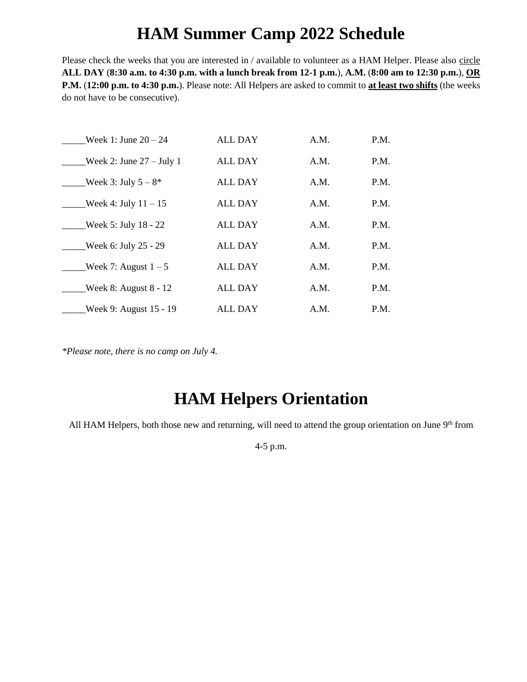### **HAM Summer Camp 2022 Schedule**

Please check the weeks that you are interested in / available to volunteer as a HAM Helper. Please also circle **ALL DAY** (**8:30 a.m. to 4:30 p.m. with a lunch break from 12-1 p.m.**), **A.M.** (**8:00 am to 12:30 p.m.**), **OR P.M.** (**12:00 p.m. to 4:30 p.m.**). Please note: All Helpers are asked to commit to **at least two shifts** (the weeks do not have to be consecutive).

| Week 1: June $20 - 24$     | <b>ALL DAY</b> | A.M. | P.M. |
|----------------------------|----------------|------|------|
| Week 2: June $27 -$ July 1 | <b>ALL DAY</b> | A.M. | P.M. |
| Week 3: July $5 - 8^*$     | <b>ALL DAY</b> | A.M. | P.M. |
| Week 4: July $11 - 15$     | <b>ALL DAY</b> | A.M. | P.M. |
| Week 5: July $18 - 22$     | <b>ALL DAY</b> | A.M. | P.M. |
| Week 6: July 25 - 29       | <b>ALL DAY</b> | A.M. | P.M. |
| Week 7: August $1-5$       | <b>ALL DAY</b> | A.M. | P.M. |
| Week 8: August $8 - 12$    | <b>ALL DAY</b> | A.M. | P.M. |
| Week 9: August 15 - 19     | ALL DAY        | A.M. | P.M. |

*\*Please note, there is no camp on July 4.*

### **HAM Helpers Orientation**

All HAM Helpers, both those new and returning, will need to attend the group orientation on June 9th from

4-5 p.m.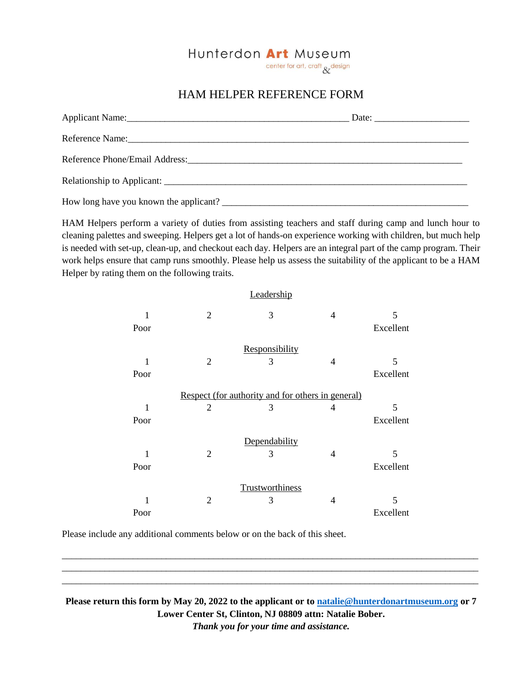

### HAM HELPER REFERENCE FORM

| Applicant Name: 1988. [19] Applicant Name: 1988. [19] Applicant Name: 1988. [19] Applicant Name: 1988. [19] Applicant Name: 1988. [19] Applicant Name: 1988. [19] Applicant Name: 1988. [19] Applicant Name: 1988. [19] Applic |  |
|--------------------------------------------------------------------------------------------------------------------------------------------------------------------------------------------------------------------------------|--|
|                                                                                                                                                                                                                                |  |
|                                                                                                                                                                                                                                |  |
|                                                                                                                                                                                                                                |  |
|                                                                                                                                                                                                                                |  |

HAM Helpers perform a variety of duties from assisting teachers and staff during camp and lunch hour to cleaning palettes and sweeping. Helpers get a lot of hands-on experience working with children, but much help is needed with set-up, clean-up, and checkout each day. Helpers are an integral part of the camp program. Their work helps ensure that camp runs smoothly. Please help us assess the suitability of the applicant to be a HAM Helper by rating them on the following traits.

|               |                                                   | Leadership      |   |           |
|---------------|---------------------------------------------------|-----------------|---|-----------|
| 1             | $\overline{2}$                                    | 3               | 4 | 5         |
| Poor          |                                                   |                 |   | Excellent |
|               |                                                   | Responsibility  |   |           |
| 1             | 2                                                 | 3               | 4 | 5         |
| Poor          |                                                   |                 |   | Excellent |
|               | Respect (for authority and for others in general) |                 |   |           |
| 1             | $\overline{2}$                                    | 3               | 4 | 5         |
| Poor          |                                                   |                 |   | Excellent |
| Dependability |                                                   |                 |   |           |
| 1             | 2                                                 | 3               | 4 | 5         |
| Poor          |                                                   |                 |   | Excellent |
|               |                                                   | Trustworthiness |   |           |
| 1             | $\overline{2}$                                    | 3               | 4 | 5         |
| Poor          |                                                   |                 |   | Excellent |

Please include any additional comments below or on the back of this sheet.

**Please return this form by May 20, 2022 to the applicant or to [natalie@hunterdonartmuseum.org](mailto:natalie@hunterdonartmuseum.org) or 7 Lower Center St, Clinton, NJ 08809 attn: Natalie Bober.** *Thank you for your time and assistance.*

\_\_\_\_\_\_\_\_\_\_\_\_\_\_\_\_\_\_\_\_\_\_\_\_\_\_\_\_\_\_\_\_\_\_\_\_\_\_\_\_\_\_\_\_\_\_\_\_\_\_\_\_\_\_\_\_\_\_\_\_\_\_\_\_\_\_\_\_\_\_\_\_\_\_\_\_\_\_\_\_\_\_\_\_\_\_\_\_ \_\_\_\_\_\_\_\_\_\_\_\_\_\_\_\_\_\_\_\_\_\_\_\_\_\_\_\_\_\_\_\_\_\_\_\_\_\_\_\_\_\_\_\_\_\_\_\_\_\_\_\_\_\_\_\_\_\_\_\_\_\_\_\_\_\_\_\_\_\_\_\_\_\_\_\_\_\_\_\_\_\_\_\_\_\_\_\_ \_\_\_\_\_\_\_\_\_\_\_\_\_\_\_\_\_\_\_\_\_\_\_\_\_\_\_\_\_\_\_\_\_\_\_\_\_\_\_\_\_\_\_\_\_\_\_\_\_\_\_\_\_\_\_\_\_\_\_\_\_\_\_\_\_\_\_\_\_\_\_\_\_\_\_\_\_\_\_\_\_\_\_\_\_\_\_\_